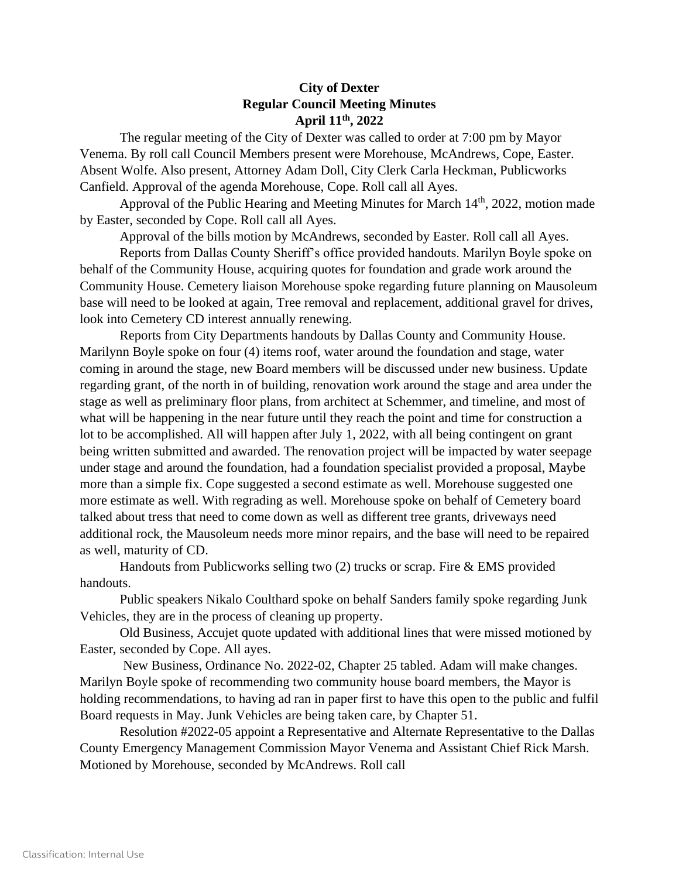## **City of Dexter Regular Council Meeting Minutes April 11th, 2022**

The regular meeting of the City of Dexter was called to order at 7:00 pm by Mayor Venema. By roll call Council Members present were Morehouse, McAndrews, Cope, Easter. Absent Wolfe. Also present, Attorney Adam Doll, City Clerk Carla Heckman, Publicworks Canfield. Approval of the agenda Morehouse, Cope. Roll call all Ayes.

Approval of the Public Hearing and Meeting Minutes for March 14<sup>th</sup>, 2022, motion made by Easter, seconded by Cope. Roll call all Ayes.

Approval of the bills motion by McAndrews, seconded by Easter. Roll call all Ayes.

Reports from Dallas County Sheriff's office provided handouts. Marilyn Boyle spoke on behalf of the Community House, acquiring quotes for foundation and grade work around the Community House. Cemetery liaison Morehouse spoke regarding future planning on Mausoleum base will need to be looked at again, Tree removal and replacement, additional gravel for drives, look into Cemetery CD interest annually renewing.

Reports from City Departments handouts by Dallas County and Community House. Marilynn Boyle spoke on four (4) items roof, water around the foundation and stage, water coming in around the stage, new Board members will be discussed under new business. Update regarding grant, of the north in of building, renovation work around the stage and area under the stage as well as preliminary floor plans, from architect at Schemmer, and timeline, and most of what will be happening in the near future until they reach the point and time for construction a lot to be accomplished. All will happen after July 1, 2022, with all being contingent on grant being written submitted and awarded. The renovation project will be impacted by water seepage under stage and around the foundation, had a foundation specialist provided a proposal, Maybe more than a simple fix. Cope suggested a second estimate as well. Morehouse suggested one more estimate as well. With regrading as well. Morehouse spoke on behalf of Cemetery board talked about tress that need to come down as well as different tree grants, driveways need additional rock, the Mausoleum needs more minor repairs, and the base will need to be repaired as well, maturity of CD.

Handouts from Publicworks selling two (2) trucks or scrap. Fire & EMS provided handouts.

Public speakers Nikalo Coulthard spoke on behalf Sanders family spoke regarding Junk Vehicles, they are in the process of cleaning up property.

Old Business, Accujet quote updated with additional lines that were missed motioned by Easter, seconded by Cope. All ayes.

New Business, Ordinance No. 2022-02, Chapter 25 tabled. Adam will make changes. Marilyn Boyle spoke of recommending two community house board members, the Mayor is holding recommendations, to having ad ran in paper first to have this open to the public and fulfil Board requests in May. Junk Vehicles are being taken care, by Chapter 51.

Resolution #2022-05 appoint a Representative and Alternate Representative to the Dallas County Emergency Management Commission Mayor Venema and Assistant Chief Rick Marsh. Motioned by Morehouse, seconded by McAndrews. Roll call